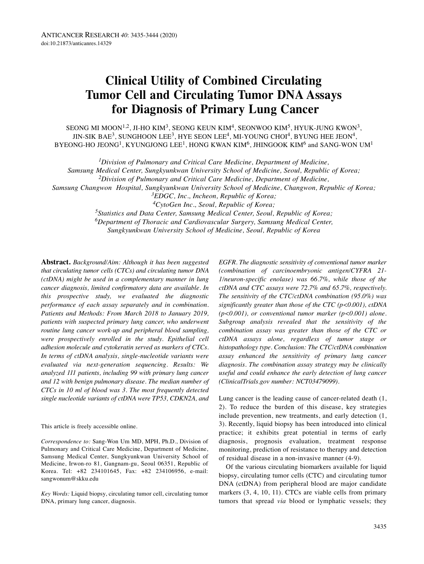# **Clinical Utility of Combined Circulating Tumor Cell and Circulating Tumor DNA Assays for Diagnosis of Primary Lung Cancer**

SEONG MI MOON<sup>1,2</sup>, JI-HO KIM<sup>3</sup>, SEONG KEUN KIM<sup>4</sup>, SEONWOO KIM<sup>5</sup>, HYUK-JUNG KWON<sup>3</sup>, JIN-SIK BAE $^3$ , SUNGHOON LEE $^3$ , HYE SEON LEE $^4$ , MI-YOUNG CHOI $^4$ , BYUNG HEE JEON $^4$ , BYEONG-HO JEONG<sup>1</sup>, KYUNGJONG LEE<sup>1</sup>, HONG KWAN KIM<sup>6</sup>, JHINGOOK KIM<sup>6</sup> and SANG-WON UM<sup>1</sup>

*1Division of Pulmonary and Critical Care Medicine, Department of Medicine, Samsung Medical Center, Sungkyunkwan University School of Medicine, Seoul, Republic of Korea; 2Division of Pulmonary and Critical Care Medicine, Department of Medicine, Samsung Changwon Hospital, Sungkyunkwan University School of Medicine, Changwon, Republic of Korea; 3EDGC, Inc., Incheon, Republic of Korea; 4CytoGen Inc., Seoul, Republic of Korea; 5Statistics and Data Center, Samsung Medical Center, Seoul, Republic of Korea; 6Department of Thoracic and Cardiovascular Surgery, Samsung Medical Center, Sungkyunkwan University School of Medicine, Seoul, Republic of Korea*

**Abstract.** *Background/Aim: Although it has been suggested that circulating tumor cells (CTCs) and circulating tumor DNA (ctDNA) might be used in a complementary manner in lung cancer diagnosis, limited confirmatory data are available. In this prospective study, we evaluated the diagnostic performance of each assay separately and in combination. Patients and Methods: From March 2018 to January 2019, patients with suspected primary lung cancer, who underwent routine lung cancer work-up and peripheral blood sampling, were prospectively enrolled in the study. Epithelial cell adhesion molecule and cytokeratin served as markers of CTCs. In terms of ctDNA analysis, single-nucleotide variants were evaluated via next-generation sequencing. Results: We analyzed 111 patients, including 99 with primary lung cancer and 12 with benign pulmonary disease. The median number of CTCs in 10 ml of blood was 3. The most frequently detected single nucleotide variants of ctDNA were TP53, CDKN2A, and*

This article is freely accessible online.

*Correspondence to:* Sang-Won Um MD, MPH, Ph.D., Division of Pulmonary and Critical Care Medicine, Department of Medicine, Samsung Medical Center, Sungkyunkwan University School of Medicine, Irwon-ro 81, Gangnam-gu, Seoul 06351, Republic of Korea. Tel: +82 234101645, Fax: +82 234106956, e-mail: sangwonum@skku.edu

*Key Words:* Liquid biopsy, circulating tumor cell, circulating tumor DNA, primary lung cancer, diagnosis.

*EGFR. The diagnostic sensitivity of conventional tumor marker (combination of carcinoembryonic antigen/CYFRA 21- 1/neuron-specific enolase) was 66.7%, while those of the ctDNA and CTC assays were 72.7% and 65.7%, respectively. The sensitivity of the CTC/ctDNA combination (95.0%) was significantly greater than those of the CTC (p<0.001), ctDNA (p<0.001), or conventional tumor marker (p<0.001) alone. Subgroup analysis revealed that the sensitivity of the combination assay was greater than those of the CTC or ctDNA assays alone, regardless of tumor stage or histopathology type. Conclusion: The CTC/ctDNA combination assay enhanced the sensitivity of primary lung cancer diagnosis. The combination assay strategy may be clinically useful and could enhance the early detection of lung cancer (ClinicalTrials.gov number: NCT03479099).*

Lung cancer is the leading cause of cancer-related death (1, 2). To reduce the burden of this disease, key strategies include prevention, new treatments, and early detection (1, 3). Recently, liquid biopsy has been introduced into clinical practice; it exhibits great potential in terms of early diagnosis, prognosis evaluation, treatment response monitoring, prediction of resistance to therapy and detection of residual disease in a non-invasive manner (4-9).

Of the various circulating biomarkers available for liquid biopsy, circulating tumor cells (CTC) and circulating tumor DNA (ctDNA) from peripheral blood are major candidate markers  $(3, 4, 10, 11)$ . CTCs are viable cells from primary tumors that spread *via* blood or lymphatic vessels; they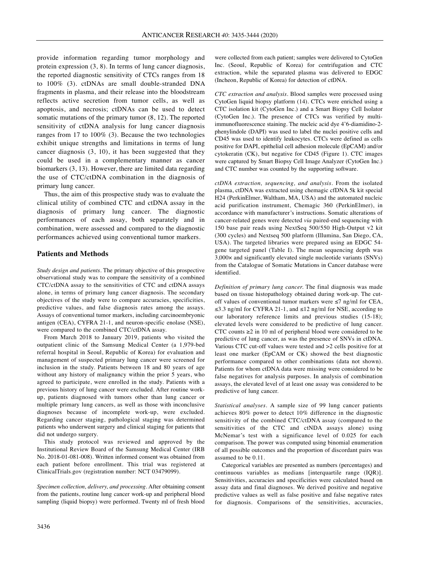provide information regarding tumor morphology and protein expression (3, 8). In terms of lung cancer diagnosis, the reported diagnostic sensitivity of CTCs ranges from 18 to 100% (3). ctDNAs are small double-stranded DNA fragments in plasma, and their release into the bloodstream reflects active secretion from tumor cells, as well as apoptosis, and necrosis; ctDNAs can be used to detect somatic mutations of the primary tumor (8, 12). The reported sensitivity of ctDNA analysis for lung cancer diagnosis ranges from 17 to 100% (3). Because the two technologies exhibit unique strengths and limitations in terms of lung cancer diagnosis (3, 10), it has been suggested that they could be used in a complementary manner as cancer biomarkers (3, 13). However, there are limited data regarding the use of CTC/ctDNA combination in the diagnosis of primary lung cancer.

Thus, the aim of this prospective study was to evaluate the clinical utility of combined CTC and ctDNA assay in the diagnosis of primary lung cancer. The diagnostic performances of each assay, both separately and in combination, were assessed and compared to the diagnostic performances achieved using conventional tumor markers.

### **Patients and Methods**

*Study design and patients.* The primary objective of this prospective observational study was to compare the sensitivity of a combined CTC/ctDNA assay to the sensitivities of CTC and ctDNA assays alone, in terms of primary lung cancer diagnosis. The secondary objectives of the study were to compare accuracies, specificities, predictive values, and false diagnosis rates among the assays. Assays of conventional tumor markers, including carcinoembryonic antigen (CEA), CYFRA 21-1, and neuron-specific enolase (NSE), were compared to the combined CTC/ctDNA assay.

From March 2018 to January 2019, patients who visited the outpatient clinic of the Samsung Medical Center (a 1,979-bed referral hospital in Seoul, Republic of Korea) for evaluation and management of suspected primary lung cancer were screened for inclusion in the study. Patients between 18 and 80 years of age without any history of malignancy within the prior 5 years, who agreed to participate, were enrolled in the study. Patients with a previous history of lung cancer were excluded. After routine workup, patients diagnosed with tumors other than lung cancer or multiple primary lung cancers, as well as those with inconclusive diagnoses because of incomplete work-up, were excluded. Regarding cancer staging, pathological staging was determined patients who underwent surgery and clinical staging for patients that did not undergo surgery.

This study protocol was reviewed and approved by the Institutional Review Board of the Samsung Medical Center (IRB No. 2018-01-081-008). Written informed consent was obtained from each patient before enrollment. This trial was registered at ClinicalTrials.gov (registration number: NCT 03479099).

*Specimen collection, delivery, and processing.* After obtaining consent from the patients, routine lung cancer work-up and peripheral blood sampling (liquid biopsy) were performed. Twenty ml of fresh blood were collected from each patient; samples were delivered to CytoGen Inc. (Seoul, Republic of Korea) for centrifugation and CTC extraction, while the separated plasma was delivered to EDGC (Incheon, Republic of Korea) for detection of ctDNA.

*CTC extraction and analysis.* Blood samples were processed using CytoGen liquid biopsy platform (14). CTCs were enriched using a CTC isolation kit (CytoGen Inc.) and a Smart Biopsy Cell Isolator (CytoGen Inc.). The presence of CTCs was verified by multiimmunofluorescence staining. The nucleic acid dye 4'6-diamidino-2 phenylindole (DAPI) was used to label the nuclei positive cells and CD45 was used to identify leukocytes. CTCs were defined as cells positive for DAPI, epithelial cell adhesion molecule (EpCAM) and/or cytokeratin (CK), but negative for CD45 (Figure 1). CTC images were captured by Smart Biopsy Cell Image Analyzer (CytoGen Inc.) and CTC number was counted by the supporting software.

*ctDNA extraction, sequencing, and analysis.* From the isolated plasma, ctDNA was extracted using chemagic cfDNA 5k kit special H24 (PerkinElmer, Waltham, MA, USA) and the automated nucleic acid purification instrument, Chemagic 360 (PerkinElmer), in accordance with manufacturer's instructions. Somatic alterations of cancer-related genes were detected *via* paired-end sequencing with 150 base pair reads using NextSeq 500/550 High-Output v2 kit (300 cycles) and Nextseq 500 platform (Illumina, San Diego, CA, USA). The targeted libraries were prepared using an EDGC 54 gene targeted panel (Table I). The mean sequencing depth was 3,000× and significantly elevated single nucleotide variants (SNVs) from the Catalogue of Somatic Mutations in Cancer database were identified.

*Definition of primary lung cancer.* The final diagnosis was made based on tissue histopathology obtained during work-up. The cutoff values of conventional tumor markers were ≤7 ng/ml for CEA, ≤3.3 ng/ml for CYFRA 21-1, and ≤12 ng/ml for NSE, according to our laboratory reference limits and previous studies (15-18); elevated levels were considered to be predictive of lung cancer. CTC counts ≥2 in 10 ml of peripheral blood were considered to be predictive of lung cancer, as was the presence of SNVs in ctDNA. Various CTC cut-off values were tested and >2 cells positive for at least one marker (EpCAM or CK) showed the best diagnostic performance compared to other combinations (data not shown). Patients for whom ctDNA data were missing were considered to be false negatives for analysis purposes. In analysis of combination assays, the elevated level of at least one assay was considered to be predictive of lung cancer.

*Statistical analyses.* A sample size of 99 lung cancer patients achieves 80% power to detect 10% difference in the diagnostic sensitivity of the combined CTC/ctDNA assay (compared to the sensitivities of the CTC and ctNDA assays alone) using McNemar's test with a significance level of 0.025 for each comparison. The power was computed using binomial enumeration of all possible outcomes and the proportion of discordant pairs was assumed to be 0.11.

Categorical variables are presented as numbers (percentages) and continuous variables as medians [interquartile range (IQR)]. Sensitivities, accuracies and specificities were calculated based on assay data and final diagnoses. We derived positive and negative predictive values as well as false positive and false negative rates for diagnosis. Comparisons of the sensitivities, accuracies,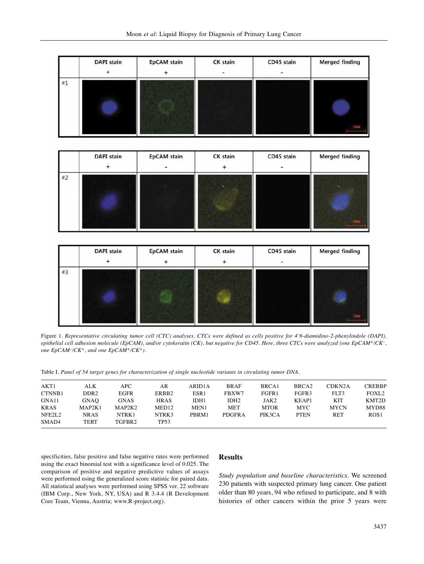|       | <b>DAPI</b> stain | <b>EpCAM</b> stain | CK stain<br>$\qquad \qquad$ | CD45 stain | <b>Merged finding</b> |
|-------|-------------------|--------------------|-----------------------------|------------|-----------------------|
| $\#1$ |                   |                    |                             |            |                       |

|    | <b>DAPI</b> stain | EpCAM stain<br>٠ | CK stain<br>CD45 stain<br>۰ |  | <b>Merged finding</b> |  |  |
|----|-------------------|------------------|-----------------------------|--|-----------------------|--|--|
| #2 |                   |                  |                             |  |                       |  |  |



Figure 1. Representative circulating tumor cell (CTC) analyses. CTCs were defined as cells positive for 4'6-diamidino-2-phenylindole (DAPI), epithelial cell adhesion molecule (EpCAM), and/or cytokeratin (CK), but negative for CD45. Here, three CTCs were analyzed (one EpCAM+/CK-, *one EpCAM–/CK+, and one EpCAM+/CK+).*

Table I. *Panel of 54 target genes for characterization of single nucleotide variants in circulating tumor DNA.*

| AKT1<br>CTNNB1        | ALK<br>DDR2    | APC<br><b>EGFR</b> | AR<br>ERBB2                | ARID1A<br>ESR1 | BRAF<br>FBXW7        | BRCA <sub>1</sub><br>FGFR1 | BRCA <sub>2</sub><br>FGFR3 | CDKN <sub>2</sub> A<br>FLT3 | <b>CREBBP</b><br>FOXL <sub>2</sub> |
|-----------------------|----------------|--------------------|----------------------------|----------------|----------------------|----------------------------|----------------------------|-----------------------------|------------------------------------|
| GNA11                 | GNAO           | <b>GNAS</b>        | <b>HRAS</b>                | IDH1           | IDH2                 | JAK2                       | KEAP1                      | KIT                         | KMT2D                              |
| <b>KRAS</b><br>NFE2L2 | MAP2K1<br>NRAS | MAP2K2<br>NTRK1    | MED <sub>12</sub><br>NTRK3 | MEN1<br>PBRM1  | <b>MET</b><br>PDGFRA | <b>MTOR</b><br>PIK3CA      | <b>MYC</b><br><b>PTEN</b>  | <b>MYCN</b><br>RET          | MYD88<br>ROS1                      |
| SMAD4                 | <b>TERT</b>    | TGFBR2             | <b>TP53</b>                |                |                      |                            |                            |                             |                                    |

specificities, false positive and false negative rates were performed using the exact binomial test with a significance level of 0.025. The comparison of positive and negative predictive values of assays were performed using the generalized score statistic for paired data. All statistical analyses were performed using SPSS ver. 22 software (IBM Corp., New York, NY, USA) and R 3.4.4 (R Development Core Team, Vienna, Austria; www.R-project.org).

# **Results**

*Study population and baseline characteristics.* We screened 230 patients with suspected primary lung cancer. One patient older than 80 years, 94 who refused to participate, and 8 with histories of other cancers within the prior 5 years were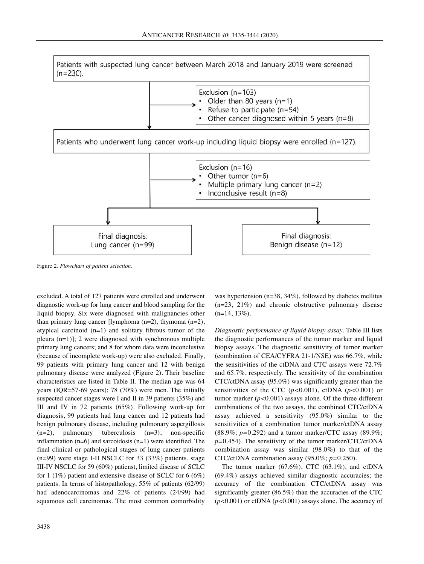

Figure 2. *Flowchart of patient selection.*

excluded. A total of 127 patients were enrolled and underwent diagnostic work-up for lung cancer and blood sampling for the liquid biopsy. Six were diagnosed with malignancies other than primary lung cancer [lymphoma  $(n=2)$ , thymoma  $(n=2)$ , atypical carcinoid (n=1) and solitary fibrous tumor of the pleura (n=1)]; 2 were diagnosed with synchronous multiple primary lung cancers; and 8 for whom data were inconclusive (because of incomplete work-up) were also excluded. Finally, 99 patients with primary lung cancer and 12 with benign pulmonary disease were analyzed (Figure 2). Their baseline characteristics are listed in Table II. The median age was 64 years (IQR=57-69 years); 78 (70%) were men. The initially suspected cancer stages were I and II in 39 patients (35%) and III and IV in 72 patients (65%). Following work-up for diagnosis, 99 patients had lung cancer and 12 patients had benign pulmonary disease, including pulmonary aspergillosis (n=2), pulmonary tuberculosis (n=3), non-specific inflammation (n=6) and sarcoidosis (n=1) were identified. The final clinical or pathological stages of lung cancer patients (n=99) were stage I-II NSCLC for 33 (33%) patients, stage III-IV NSCLC for 59 (60%) patienst, limited disease of SCLC for 1 (1%) patient and extensive disease of SCLC for 6 (6%) patients. In terms of histopathology, 55% of patients (62/99) had adenocarcinomas and 22% of patients (24/99) had squamous cell carcinomas. The most common comorbidity

was hypertension (n=38, 34%), followed by diabetes mellitus (n=23, 21%) and chronic obstructive pulmonary disease  $(n=14, 13\%)$ .

*Diagnostic performance of liquid biopsy assay*. Table III lists the diagnostic performances of the tumor marker and liquid biopsy assays. The diagnostic sensitivity of tumor marker (combination of CEA/CYFRA 21-1/NSE) was 66.7%, while the sensitivities of the ctDNA and CTC assays were 72.7% and 65.7%, respectively. The sensitivity of the combination CTC/ctDNA assay (95.0%) was significantly greater than the sensitivities of the CTC (*p<*0.001), ctDNA (*p<*0.001) or tumor marker (*p<*0.001) assays alone. Of the three different combinations of the two assays, the combined CTC/ctDNA assay achieved a sensitivity (95.0%) similar to the sensitivities of a combination tumor marker/ctDNA assay (88.9%; *p=*0.292) and a tumor marker/CTC assay (89.9%; *p=*0.454). The sensitivity of the tumor marker/CTC/ctDNA combination assay was similar (98.0%) to that of the CTC/ctDNA combination assay (95.0%; *p=*0.250).

The tumor marker (67.6%), CTC (63.1%), and ctDNA (69.4%) assays achieved similar diagnostic accuracies; the accuracy of the combination CTC/ctDNA assay was significantly greater (86.5%) than the accuracies of the CTC (*p<*0.001) or ctDNA (*p<*0.001) assays alone. The accuracy of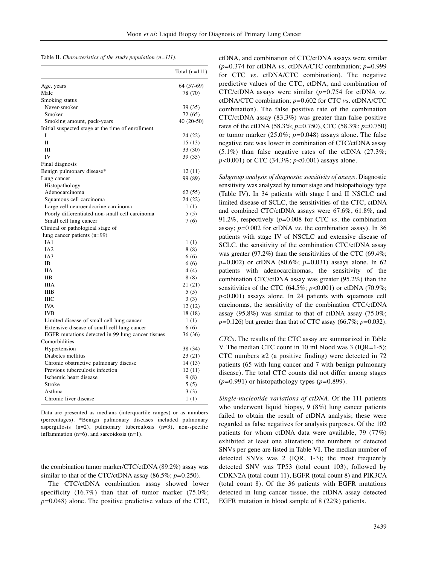Table II. *Characteristics of the study population (n=111).*

|                                                   | Total $(n=111)$ |
|---------------------------------------------------|-----------------|
| Age, years                                        | 64 (57-69)      |
| Male                                              | 78 (70)         |
| Smoking status                                    |                 |
| Never-smoker                                      | 39 (35)         |
| Smoker                                            | 72 (65)         |
| Smoking amount, pack-years                        | 40 (20-50)      |
| Initial suspected stage at the time of enrollment |                 |
| I                                                 | 24 (22)         |
| $\mathbf{I}$                                      | 15(13)          |
| Ш                                                 | 33 (30)         |
| IV                                                | 39 (35)         |
| Final diagnosis                                   |                 |
| Benign pulmonary disease*                         | 12 (11)         |
| Lung cancer                                       | 99 (89)         |
| Histopathology                                    |                 |
| Adenocarcinoma                                    | 62 (55)         |
| Squamous cell carcinoma                           | 24 (22)         |
| Large cell neuroendocrine carcinoma               | 1(1)            |
| Poorly differentiated non-small cell carcinoma    | 5(5)            |
| Small cell lung cancer                            | 7(6)            |
| Clinical or pathological stage of                 |                 |
| lung cancer patients $(n=99)$                     |                 |
| IA1                                               | 1(1)            |
| IA <sub>2</sub>                                   | 8(8)            |
| IA3                                               | 6 (6)           |
| <b>IB</b>                                         | 6(6)            |
| <b>IIA</b>                                        | 4(4)            |
| IІВ                                               | 8(8)            |
| ШA                                                | 21 (21)         |
| ШВ                                                | 5(5)            |
| ШC                                                | 3(3)            |
| <b>IVA</b>                                        | 12(12)          |
| <b>IVB</b>                                        | 18 (18)         |
| Limited disease of small cell lung cancer         | 1(1)            |
| Extensive disease of small cell lung cancer       | 6 (6)           |
| EGFR mutations detected in 99 lung cancer tissues | 36 (36)         |
| Comorbidities                                     |                 |
| Hypertension                                      | 38 (34)         |
| Diabetes mellitus                                 | 23 (21)         |
| Chronic obstructive pulmonary disease             | 14 (13)         |
| Previous tuberculosis infection                   | 12(11)          |
| Ischemic heart disease                            | 9(8)            |
| Stroke                                            | 5(5)            |
| Asthma                                            | 3(3)            |
| Chronic liver disease                             | 1(1)            |

Data are presented as medians (interquartile ranges) or as numbers (percentages). \*Benign pulmonary diseases included pulmonary aspergillosis  $(n=2)$ , pulmonary tuberculosis  $(n=3)$ , non-specific inflammation (n=6), and sarcoidosis (n=1).

the combination tumor marker/CTC/ctDNA (89.2%) assay was similar to that of the CTC/ctDNA assay (86.5%; *p=*0.250).

The CTC/ctDNA combination assay showed lower specificity (16.7%) than that of tumor marker (75.0%; *p=*0.048) alone. The positive predictive values of the CTC,

ctDNA, and combination of CTC/ctDNA assays were similar (*p=*0.374 for ctDNA *vs.* ctDNA/CTC combination; *p=*0.999 for CTC *vs.* ctDNA/CTC combination). The negative predictive values of the CTC, ctDNA, and combination of CTC/ctDNA assays were similar (*p=*0.754 for ctDNA *vs.* ctDNA/CTC combination; *p=*0.602 for CTC *vs.* ctDNA/CTC combination). The false positive rate of the combination CTC/ctDNA assay (83.3%) was greater than false positive rates of the ctDNA (58.3%; *p=*0.750), CTC (58.3%; *p=*0.750) or tumor marker (25.0%; *p=*0.048) assays alone. The false negative rate was lower in combination of CTC/ctDNA assay  $(5.1\%)$  than false negative rates of the ctDNA  $(27.3\%);$ *p<*0.001) or CTC (34.3%; *p<*0.001) assays alone.

*Subgroup analysis of diagnostic sensitivity of assays.* Diagnostic sensitivity was analyzed by tumor stage and histopathology type (Table IV). In 34 patients with stage I and II NSCLC and limited disease of SCLC, the sensitivities of the CTC, ctDNA and combined CTC/ctDNA assays were 67.6%, 61.8%, and 91.2%, respectively (*p=*0.008 for CTC *vs.* the combination assay; *p=*0.002 for ctDNA *vs.* the combination assay). In 36 patients with stage IV of NSCLC and extensive disease of SCLC, the sensitivity of the combination CTC/ctDNA assay was greater (97.2%) than the sensitivities of the CTC (69.4%; *p=*0.002) or ctDNA (80.6%; *p=*0.031) assays alone. In 62 patients with adenocarcinomas, the sensitivity of the combination CTC/ctDNA assay was greater (95.2%) than the sensitivities of the CTC (64.5%; *p<*0.001) or ctDNA (70.9%; *p<*0.001) assays alone. In 24 patients with squamous cell carcinomas, the sensitivity of the combination CTC/ctDNA assay (95.8%) was similar to that of ctDNA assay (75.0%; *p=*0.126) but greater than that of CTC assay (66.7%; *p=*0.032).

*CTCs.* The results of the CTC assay are summarized in Table V. The median CTC count in 10 ml blood was 3 (IQR=1-5); CTC numbers  $\geq 2$  (a positive finding) were detected in 72 patients (65 with lung cancer and 7 with benign pulmonary disease). The total CTC counts did not differ among stages (*p=*0.991) or histopathology types (*p=*0.899).

*Single-nucleotide variations of ctDNA.* Of the 111 patients who underwent liquid biopsy, 9 (8%) lung cancer patients failed to obtain the result of ctDNA analysis; these were regarded as false negatives for analysis purposes. Of the 102 patients for whom ctDNA data were available, 79 (77%) exhibited at least one alteration; the numbers of detected SNVs per gene are listed in Table VI. The median number of detected SNVs was 2 (IQR, 1-3); the most frequently detected SNV was TP53 (total count 103), followed by CDKN2A (total count 11), EGFR (total count 8) and PIK3CA (total count 8). Of the 36 patients with EGFR mutations detected in lung cancer tissue, the ctDNA assay detected EGFR mutation in blood sample of 8 (22%) patients.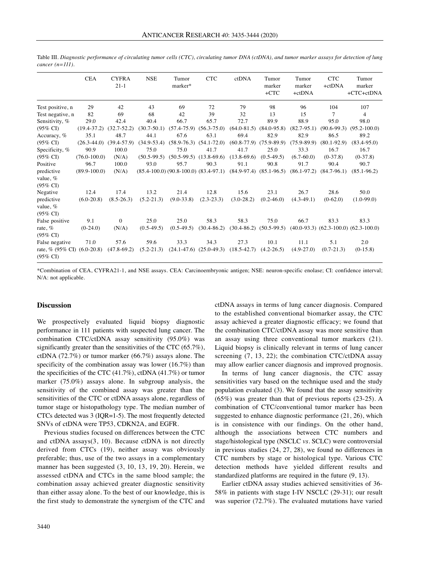|                                                        | <b>CEA</b>       | <b>CYFRA</b><br>$21 - 1$ | <b>NSE</b>                                  | Tumor<br>marker* | <b>CTC</b>                      | ctDNA           | Tumor<br>marker<br>$+CTC$   | Tumor<br>marker<br>+ctDNA | <b>CTC</b><br>$+ctDNA$ | Tumor<br>marker<br>+CTC+ctDNA               |
|--------------------------------------------------------|------------------|--------------------------|---------------------------------------------|------------------|---------------------------------|-----------------|-----------------------------|---------------------------|------------------------|---------------------------------------------|
| Test positive, n                                       | 29               | 42                       | 43                                          | 69               | 72                              | 79              | 98                          | 96                        | 104                    | 107                                         |
| Test negative, n                                       | 82               | 69                       | 68                                          | 42               | 39                              | 32              | 13                          | 15                        | 7                      | $\overline{4}$                              |
| Sensitivity, %                                         | 29.0             | 42.4                     | 40.4                                        | 66.7             | 65.7                            | 72.7            | 89.9                        | 88.9                      | 95.0                   | 98.0                                        |
| $(95\% \text{ CI})$                                    | $(19.4 - 37.2)$  | $(32.7 - 52.2)$          | $(30.7 - 50.1)$                             | $(57.4 - 75.9)$  | $(56.3 - 75.0)$                 | $(64.0 - 81.5)$ | $(84.0 - 95.8)$             | $(82.7-95.1)$             | $(90.6 - 99.3)$        | $(95.2 - 100.0)$                            |
| Accuracy, %                                            | 35.1             | 48.7                     | 44.1                                        | 67.6             | 63.1                            | 69.4            | 82.9                        | 82.9                      | 86.5                   | 89.2                                        |
| $(95\% \text{ CI})$                                    | $(26.3 - 44.0)$  | $(39.4 - 57.9)$          | $(34.9 - 53.4)$                             |                  | $(58.9-76.3)$ $(54.1-72.0)$     |                 | $(60.8-77.9)$ $(75.9-89.9)$ | $(75.9 - 89.9)$           | $(80.1 - 92.9)$        | $(83.4 - 95.0)$                             |
| Specificity, %                                         | 90.9             | 100.0                    | 75.0                                        | 75.0             | 41.7                            | 41.7            | 25.0                        | 33.3                      | 16.7                   | 16.7                                        |
| $(95\% \text{ CI})$                                    | $(76.0 - 100.0)$ | (N/A)                    | $(50.5-99.5)$                               |                  | $(50.5-99.5)$ $(13.8-69.6)$     | $(13.8-69.6)$   | $(0.5-49.5)$                | $(6.7 - 60.0)$            | $(0-37.8)$             | $(0-37.8)$                                  |
| Positive                                               | 96.7             | 100.0                    | 93.0                                        | 95.7             | 90.3                            | 91.1            | 90.8                        | 91.7                      | 90.4                   | 90.7                                        |
| predictive<br>value, $%$                               | $(89.9 - 100.0)$ | (N/A)                    | $(85.4-100.0)$ $(90.8-100.0)$ $(83.4-97.1)$ |                  |                                 |                 | $(84.9-97.4)$ $(85.1-96.5)$ | $(86.1 - 97.2)$           | $(84.7-96.1)$          | $(85.1 - 96.2)$                             |
| $(95\% \text{ CI})$                                    |                  |                          |                                             |                  |                                 |                 |                             |                           |                        |                                             |
| Negative                                               | 12.4             | 17.4                     | 13.2                                        | 21.4             | 12.8                            | 15.6            | 23.1                        | 26.7                      | 28.6                   | 50.0                                        |
| predictive<br>value, $%$<br>$(95\% \text{ CI})$        | $(6.0-20.8)$     | $(8.5 - 26.3)$           | $(5.2 - 21.3)$                              | $(9.0 - 33.8)$   | $(2.3-23.3)$                    | $(3.0-28.2)$    | $(0.2 - 46.0)$              | $(4.3-49.1)$              | $(0-62.0)$             | $(1.0-99.0)$                                |
| False positive                                         | 9.1              | $\boldsymbol{0}$         | 25.0                                        | 25.0             | 58.3                            | 58.3            | 75.0                        | 66.7                      | 83.3                   | 83.3                                        |
| rate, %<br>$(95\% \text{ CI})$                         | $(0-24.0)$       | (N/A)                    | $(0.5-49.5)$                                | $(0.5-49.5)$     | $(30.4 - 86.2)$                 | $(30.4 - 86.2)$ | $(50.5-99.5)$               |                           |                        | $(40.0-93.3)$ $(62.3-100.0)$ $(62.3-100.0)$ |
| False negative                                         | 71.0             | 57.6                     | 59.6                                        | 33.3             | 34.3                            | 27.3            | 10.1                        | 11.1                      | 5.1                    | 2.0                                         |
| rate, $\%$ (95\% CI) (6.0-20.8)<br>$(95\% \text{ CI})$ |                  | $(47.8 - 69.2)$          | $(5.2 - 21.3)$                              |                  | $(24.1 - 47.6)$ $(25.0 - 49.3)$ | $(18.5 - 42.7)$ | $(4.2 - 26.5)$              | $(4.9-27.0)$              | $(0.7 - 21.3)$         | $(0-15.8)$                                  |

Table III. Diagnostic performance of circulating tumor cells (CTC), circulating tumor DNA (ctDNA), and tumor marker assays for detection of lung *cancer (n=111).*

\*Combination of CEA, CYFRA21-1, and NSE assays. CEA: Carcinoembryonic antigen; NSE: neuron-specific enolase; CI: confidence interval; N/A: not applicable.

#### **Discussion**

We prospectively evaluated liquid biopsy diagnostic performance in 111 patients with suspected lung cancer. The combination CTC/ctDNA assay sensitivity (95.0%) was significantly greater than the sensitivities of the CTC (65.7%), ctDNA (72.7%) or tumor marker (66.7%) assays alone. The specificity of the combination assay was lower (16.7%) than the specificities of the CTC (41.7%), ctDNA (41.7%) or tumor marker (75.0%) assays alone. In subgroup analysis, the sensitivity of the combined assay was greater than the sensitivities of the CTC or ctDNA assays alone, regardless of tumor stage or histopathology type. The median number of CTCs detected was 3 (IQR=1-5). The most frequently detected SNVs of ctDNA were TP53, CDKN2A, and EGFR.

Previous studies focused on differences between the CTC and ctDNA assays(3, 10). Because ctDNA is not directly derived from CTCs (19), neither assay was obviously preferable; thus, use of the two assays in a complementary manner has been suggested (3, 10, 13, 19, 20). Herein, we assessed ctDNA and CTCs in the same blood sample; the combination assay achieved greater diagnostic sensitivity than either assay alone. To the best of our knowledge, this is the first study to demonstrate the synergism of the CTC and ctDNA assays in terms of lung cancer diagnosis. Compared to the established conventional biomarker assay, the CTC assay achieved a greater diagnostic efficacy; we found that the combination CTC/ctDNA assay was more sensitive than an assay using three conventional tumor markers (21). Liquid biopsy is clinically relevant in terms of lung cancer screening (7, 13, 22); the combination CTC/ctDNA assay may allow earlier cancer diagnosis and improved prognosis.

In terms of lung cancer diagnosis, the CTC assay sensitivities vary based on the technique used and the study population evaluated (3). We found that the assay sensitivity (65%) was greater than that of previous reports (23-25). A combination of CTC/conventional tumor marker has been suggested to enhance diagnostic performance (21, 26), which is in consistence with our findings. On the other hand, although the associations between CTC numbers and stage/histological type (NSCLC *vs.* SCLC) were controversial in previous studies (24, 27, 28), we found no differences in CTC numbers by stage or histological type. Various CTC detection methods have yielded different results and standardized platforms are required in the future (9, 13).

Earlier ctDNA assay studies achieved sensitivities of 36- 58% in patients with stage I-IV NSCLC (29-31); our result was superior (72.7%). The evaluated mutations have varied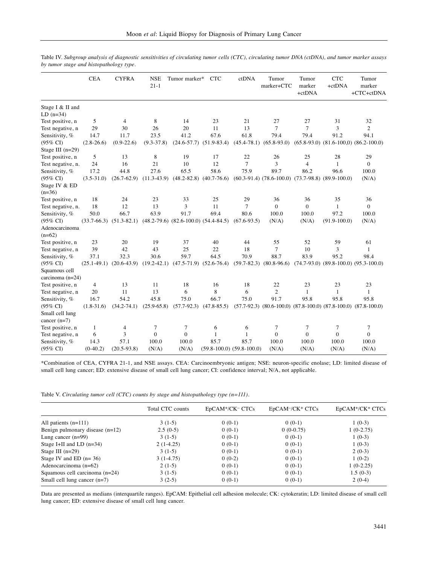|                                                          | <b>CEA</b>         | <b>CYFRA</b>             | <b>NSE</b><br>$21 - 1$ | Tumor marker*                              | <b>CTC</b>                            | ctDNA          | Tumor<br>marker+CTC                                       | Tumor<br>marker<br>+ctDNA | <b>CTC</b><br>+ctDNA | Tumor<br>marker<br>+CTC+ctDNA                                             |
|----------------------------------------------------------|--------------------|--------------------------|------------------------|--------------------------------------------|---------------------------------------|----------------|-----------------------------------------------------------|---------------------------|----------------------|---------------------------------------------------------------------------|
| Stage I & II and<br>$LD (n=34)$                          |                    |                          |                        |                                            |                                       |                |                                                           |                           |                      |                                                                           |
| Test positive, n                                         | 5                  | $\overline{\mathcal{L}}$ | 8                      | 14                                         | 23                                    | 21             | 27                                                        | 27                        | 31                   | 32                                                                        |
| Test negative, n                                         | 29                 | 30                       | 26                     | 20                                         | 11                                    | 13             | $\tau$                                                    | 7                         | 3                    | $\overline{c}$                                                            |
| Sensitivity, %                                           | 14.7               | 11.7                     | 23.5                   | 41.2                                       | 67.6                                  | 61.8           | 79.4                                                      | 79.4                      | 91.2                 | 94.1                                                                      |
| $(95\% \text{ CI})$<br>Stage III $(n=29)$                | $(2.8-26.6)$       | $(0.9-22.6)$             | $(9.3 - 37.8)$         | $(24.6 - 57.7)$                            | $(51.9 - 83.4)$                       |                | $(45.4 - 78.1)$ $(65.8 - 93.0)$                           |                           |                      | $(65.8-93.0)$ $(81.6-100.0)$ $(86.2-100.0)$                               |
| Test positive, n                                         | 5                  | 13                       | 8                      | 19                                         | 17                                    | 22             | 26                                                        | 25                        | 28                   | 29                                                                        |
| Test negative, n.                                        | 24                 | 16                       | 21                     | 10                                         | 12                                    | 7              | 3                                                         | $\overline{4}$            | $\mathbf{1}$         | $\mathbf{0}$                                                              |
| Sensitivity, %                                           | 17.2               | 44.8                     | 27.6                   | 65.5                                       | 58.6                                  | 75.9           | 89.7                                                      | 86.2                      | 96.6                 | 100.0                                                                     |
| $(95\% \text{ CI})$<br>Stage IV & ED<br>$(n=36)$         | $(3.5 - 31.0)$     | $(26.7 - 62.9)$          | $(11.3-43.9)$          | $(48.2 - 82.8)$                            | $(40.7 - 76.6)$                       |                | $(60.3-91.4)$ $(78.6-100.0)$ $(73.7-98.8)$ $(89.9-100.0)$ |                           |                      | (N/A)                                                                     |
| Test positive, n                                         | 18                 | 24                       | 23                     | 33                                         | 25                                    | 29             | 36                                                        | 36                        | 35                   | 36                                                                        |
| Test negative, n.                                        | 18                 | 12                       | 13                     | 3                                          | 11                                    | $\overline{7}$ | $\Omega$                                                  | $\overline{0}$            | $\mathbf{1}$         | $\mathbf{0}$                                                              |
| Sensitivity, %                                           | 50.0               | 66.7                     | 63.9                   | 91.7                                       | 69.4                                  | 80.6           | 100.0                                                     | 100.0                     | 97.2                 | 100.0                                                                     |
| $(95\% \text{ CI})$                                      | $(33.7-66.3)$      | $(51.3 - 82.1)$          |                        | $(48.2-79.6)$ $(82.6-100.0)$ $(54.4-84.5)$ |                                       | $(67.6-93.5)$  | (N/A)                                                     | (N/A)                     | $(91.9 - 100.0)$     | (N/A)                                                                     |
| Adenocarcinoma<br>$(n=62)$                               |                    |                          |                        |                                            |                                       |                |                                                           |                           |                      |                                                                           |
| Test positive, n                                         | 23                 | 20                       | 19                     | 37                                         | 40                                    | 44             | 55                                                        | 52                        | 59                   | 61                                                                        |
| Test negative, n                                         | 39                 | 42                       | 43                     | 25                                         | 22                                    | 18             | $\tau$                                                    | 10                        | 3                    | $\mathbf{1}$                                                              |
| Sensitivity, %                                           | 37.1               | 32.3                     | 30.6                   | 59.7                                       | 64.5                                  | 70.9           | 88.7                                                      | 83.9                      | 95.2                 | 98.4                                                                      |
| $(95\% \text{ CI})$                                      | $(25.1 - 49.1)$    | $(20.6 - 43.9)$          |                        | $(19.2-42.1)$ $(47.5-71.9)$ $(52.6-76.4)$  |                                       |                | $(59.7-82.3)$ $(80.8-96.6)$                               |                           |                      | $(74.7-93.0)$ $(89.8-100.0)$ $(95.3-100.0)$                               |
| Squamous cell<br>carcinoma (n=24)                        |                    |                          |                        |                                            |                                       |                |                                                           |                           |                      |                                                                           |
| Test positive, n                                         | 4                  | 13                       | 11                     | 18                                         | 16                                    | 18             | 22                                                        | 23                        | 23                   | 23                                                                        |
| Test negative, n                                         | 20                 | 11                       | 13                     | 6                                          | 8                                     | 6              | $\overline{2}$                                            | 1                         | $\mathbf{1}$         | $\mathbf{1}$                                                              |
| Sensitivity, %                                           | 16.7               | 54.2                     | 45.8                   | 75.0                                       | 66.7                                  | 75.0           | 91.7                                                      | 95.8                      | 95.8                 | 95.8                                                                      |
| $(95\% \text{ CI})$<br>Small cell lung<br>cancer $(n=7)$ | $(1.8-31.6)$       | $(34.2 - 74.1)$          | $(25.9 - 65.8)$        | $(57.7-92.3)$                              | $(47.8 - 85.5)$                       |                |                                                           |                           |                      | $(57.7-92.3)$ $(80.6-100.0)$ $(87.8-100.0)$ $(87.8-100.0)$ $(87.8-100.0)$ |
| Test positive, n                                         | 1                  | 4                        | 7                      | 7                                          | 6                                     | 6              | 7                                                         | 7                         | 7                    | 7                                                                         |
| Test negative, n                                         | 6                  | 3                        | $\mathbf{0}$           | $\boldsymbol{0}$                           | $\mathbf{1}$                          | 1              | $\overline{0}$                                            | $\boldsymbol{0}$          | $\boldsymbol{0}$     | $\boldsymbol{0}$                                                          |
| Sensitivity, %<br>$(95\% \text{ CI})$                    | 14.3<br>$(0-40.2)$ | 57.1<br>$(20.5 - 93.8)$  | 100.0<br>(N/A)         | 100.0<br>(N/A)                             | 85.7<br>$(59.8-100.0)$ $(59.8-100.0)$ | 85.7           | 100.0<br>(N/A)                                            | 100.0<br>(N/A)            | 100.0<br>(N/A)       | 100.0<br>(N/A)                                                            |

Table IV. Subgroup analysis of diagnostic sensitivities of circulating tumor cells (CTC), circulating tumor DNA (ctDNA), and tumor marker assays *by tumor stage and histopathology type.*

\*Combination of CEA, CYFRA 21-1, and NSE assays. CEA: Carcinoembryonic antigen; NSE: neuron-specific enolase; LD: limited disease of small cell lung cancer; ED: extensive disease of small cell lung cancer; CI: confidence interval; N/A, not applicable.

Table V. *Circulating tumor cell (CTC) counts by stage and histopathology type (n=111).*

|                                   | Total CTC counts | $EpCAM+/CK$ $CTCs$ | $EpCAM-CK+CTCs$ | EpCAM <sup>+</sup> /CK <sup>+</sup> CTC <sub>s</sub> |
|-----------------------------------|------------------|--------------------|-----------------|------------------------------------------------------|
| All patients $(n=111)$            | $3(1-5)$         | $0(0-1)$           | $0(0-1)$        | $1(0-3)$                                             |
| Benign pulmonary disease $(n=12)$ | $2.5(0-5)$       | $0(0-1)$           | $0(0-0.75)$     | $1(0-2.75)$                                          |
| Lung cancer $(n=99)$              | $3(1-5)$         | $0(0-1)$           | $0(0-1)$        | $1(0-3)$                                             |
| Stage I+II and LD $(n=34)$        | $2(1-4.25)$      | $0(0-1)$           | $0(0-1)$        | $1(0-3)$                                             |
| Stage III $(n=29)$                | $3(1-5)$         | $0(0-1)$           | $0(0-1)$        | $2(0-3)$                                             |
| Stage IV and ED $(n=36)$          | $3(1-4.75)$      | $0(0-2)$           | $0(0-1)$        | $1(0-2)$                                             |
| Adenocarcinoma (n=62)             | $2(1-5)$         | $0(0-1)$           | $0(0-1)$        | $1(0-2.25)$                                          |
| Squamous cell carcinoma $(n=24)$  | $3(1-5)$         | $0(0-1)$           | $0(0-1)$        | $1.5(0-3)$                                           |
| Small cell lung cancer $(n=7)$    | $3(2-5)$         | $0(0-1)$           | $0(0-1)$        | $2(0-4)$                                             |

Data are presented as medians (interquartile ranges). EpCAM: Epithelial cell adhesion molecule; CK: cytokeratin; LD: limited disease of small cell lung cancer; ED: extensive disease of small cell lung cancer.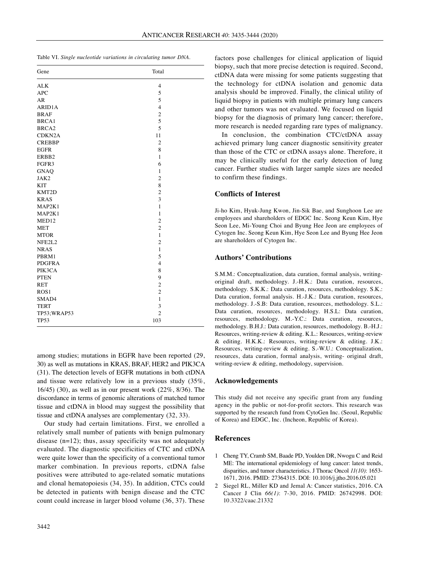|  |  |  |  |  | Table VI. Single nucleotide variations in circulating tumor DNA. |  |  |
|--|--|--|--|--|------------------------------------------------------------------|--|--|
|--|--|--|--|--|------------------------------------------------------------------|--|--|

| Gene              | Total          |
|-------------------|----------------|
| <b>ALK</b>        | $\overline{4}$ |
| <b>APC</b>        | 5              |
| AR                | 5              |
| ARID1A            | $\overline{4}$ |
| <b>BRAF</b>       | $\overline{c}$ |
| BRCA1             | 5              |
| BRCA <sub>2</sub> | 5              |
| CDKN2A            | 11             |
| <b>CREBBP</b>     | $\overline{c}$ |
| <b>EGFR</b>       | 8              |
| ERBB2             | $\mathbf{1}$   |
| FGFR3             | 6              |
| <b>GNAQ</b>       | $\mathbf{1}$   |
| JAK2              | $\overline{c}$ |
| <b>KIT</b>        | 8              |
| KMT2D             | $\mathbf{2}$   |
| <b>KRAS</b>       | 3              |
| MAP2K1            | $\mathbf{1}$   |
| MAP2K1            | $\mathbf{1}$   |
| MED12             | $\overline{c}$ |
| <b>MET</b>        | $\overline{c}$ |
| <b>MTOR</b>       | $\mathbf{1}$   |
| NFE2L2            | $\overline{c}$ |
| <b>NRAS</b>       | $\mathbf{1}$   |
| PBRM1             | 5              |
| <b>PDGFRA</b>     | $\overline{4}$ |
| PIK3CA            | 8              |
| <b>PTEN</b>       | 9              |
| <b>RET</b>        | $\overline{c}$ |
| ROS <sub>1</sub>  | $\overline{c}$ |
| SMAD4             | $\mathbf{1}$   |
| <b>TERT</b>       | 3              |
| TP53;WRAP53       | $\overline{2}$ |
| <b>TP53</b>       | 103            |

among studies; mutations in EGFR have been reported (29, 30) as well as mutations in KRAS, BRAF, HER2 and PIK3CA (31). The detection levels of EGFR mutations in both ctDNA and tissue were relatively low in a previous study (35%, 16/45) (30), as well as in our present work (22%, 8/36). The discordance in terms of genomic alterations of matched tumor tissue and ctDNA in blood may suggest the possibility that tissue and ctDNA analyses are complementary (32, 33).

Our study had certain limitations. First, we enrolled a relatively small number of patients with benign pulmonary disease (n=12); thus, assay specificity was not adequately evaluated. The diagnostic specificities of CTC and ctDNA were quite lower than the specificity of a conventional tumor marker combination. In previous reports, ctDNA false positives were attributed to age-related somatic mutations and clonal hematopoiesis (34, 35). In addition, CTCs could be detected in patients with benign disease and the CTC count could increase in larger blood volume (36, 37). These factors pose challenges for clinical application of liquid biopsy, such that more precise detection is required. Second, ctDNA data were missing for some patients suggesting that the technology for ctDNA isolation and genomic data analysis should be improved. Finally, the clinical utility of liquid biopsy in patients with multiple primary lung cancers and other tumors was not evaluated. We focused on liquid biopsy for the diagnosis of primary lung cancer; therefore, more research is needed regarding rare types of malignancy.

In conclusion, the combination CTC/ctDNA assay achieved primary lung cancer diagnostic sensitivity greater than those of the CTC or ctDNA assays alone. Therefore, it may be clinically useful for the early detection of lung cancer. Further studies with larger sample sizes are needed to confirm these findings.

# **Conflicts of Interest**

Ji-ho Kim, Hyuk-Jung Kwon, Jin-Sik Bae, and Sunghoon Lee are employees and shareholders of EDGC Inc. Seong Keun Kim, Hye Seon Lee, Mi-Young Choi and Byung Hee Jeon are employees of Cytogen Inc. Seong Keun Kim, Hye Seon Lee and Byung Hee Jeon are shareholders of Cytogen Inc.

# **Authors' Contributions**

S.M.M.: Conceptualization, data curation, formal analysis, writingoriginal draft, methodology. J.-H.K.: Data curation, resources, methodology. S.K.K.: Data curation, resources, methodology. S.K.: Data curation, formal analysis. H.-J.K.: Data curation, resources, methodology. J.-S.B: Data curation, resources, methodology. S.L.: Data curation, resources, methodology. H.S.L: Data curation, resources, methodology. M.-Y.C.: Data curation, resources, methodology. B.H.J.: Data curation, resources, methodology. B.-H.J.: Resources, writing-review & editing. K.L.: Resources, writing-review & editing. H.K.K.: Resources, writing-review & editing. J.K.: Resources, writing-review & editing. S.-W.U.: Conceptualization, resources, data curation, formal analysis, writing- original draft, writing-review & editing, methodology, supervision.

#### **Acknowledgements**

This study did not receive any specific grant from any funding agency in the public or not-for-profit sectors. This research was supported by the research fund from CytoGen Inc. (Seoul, Republic of Korea) and EDGC, Inc. (Incheon, Republic of Korea).

### **References**

- 1 Cheng TY, Cramb SM, Baade PD, Youlden DR, Nwogu C and Reid ME: The international epidemiology of lung cancer: latest trends, disparities, and tumor characteristics. J Thorac Oncol *11(10)*: 1653- 1671, 2016. PMID: 27364315. DOI: 10.1016/j.jtho.2016.05.021
- 2 Siegel RL, Miller KD and Jemal A: Cancer statistics, 2016. CA Cancer J Clin *66(1)*: 7-30, 2016. PMID: 26742998. DOI: 10.3322/caac.21332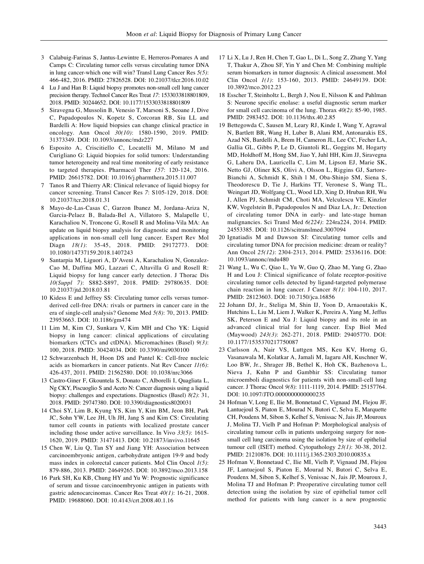- 3 Calabuig-Farinas S, Jantus-Lewintre E, Herreros-Pomares A and Camps C: Circulating tumor cells versus circulating tumor DNA in lung cancer-which one will win? Transl Lung Cancer Res *5(5)*: 466-482, 2016. PMID: 27826528. DOI: 10.21037/tlcr.2016.10.02
- 4 Lu J and Han B: Liquid biopsy promotes non-small cell lung cancer precision therapy. Technol Cancer Res Treat *17*: 1533033818801809, 2018. PMID: 30244652. DOI: 10.1177/1533033818801809
- 5 Siravegna G, Mussolin B, Venesio T, Marsoni S, Seoane J, Dive C, Papadopoulos N, Kopetz S, Corcoran RB, Siu LL and Bardelli A: How liquid biopsies can change clinical practice in oncology. Ann Oncol *30(10)*: 1580-1590, 2019. PMID: 31373349. DOI: 10.1093/annonc/mdz227
- 6 Esposito A, Criscitiello C, Locatelli M, Milano M and Curigliano G: Liquid biopsies for solid tumors: Understanding tumor heterogeneity and real time monitoring of early resistance to targeted therapies. Pharmacol Ther *157*: 120-124, 2016. PMID: 26615782. DOI: 10.1016/j.pharmthera.2015.11.007
- 7 Tanos R and Thierry AR: Clinical relevance of liquid biopsy for cancer screening. Transl Cancer Res *7*: S105-129, 2018. DOI: 10.21037/tcr.2018.01.31
- 8 Mayo-de-Las-Casas C, Garzon Ibanez M, Jordana-Ariza N, Garcia-Pelaez B, Balada-Bel A, Villatoro S, Malapelle U, Karachaliou N, Troncone G, Rosell R and Molina-Vila MA: An update on liquid biopsy analysis for diagnostic and monitoring applications in non-small cell lung cancer. Expert Rev Mol Diagn *18(1)*: 35-45, 2018. PMID: 29172773. DOI: 10.1080/14737159.2018.1407243
- 9 Santarpia M, Liguori A, D'Aveni A, Karachaliou N, Gonzalez-Cao M, Daffina MG, Lazzari C, Altavilla G and Rosell R: Liquid biopsy for lung cancer early detection. J Thorac Dis *10(Suppl 7)*: S882-S897, 2018. PMID: 29780635. DOI: 10.21037/jtd.2018.03.81
- 10 Kidess E and Jeffrey SS: Circulating tumor cells versus tumorderived cell-free DNA: rivals or partners in cancer care in the era of single-cell analysis? Genome Med *5(8)*: 70, 2013. PMID: 23953663. DOI: 10.1186/gm474
- 11 Lim M, Kim CJ, Sunkara V, Kim MH and Cho YK: Liquid biopsy in lung cancer: clinical applications of circulating biomarkers (CTCs and ctDNA). Micromachines (Basel) *9(3)*: 100, 2018. PMID: 30424034. DOI: 10.3390/mi9030100
- 12 Schwarzenbach H, Hoon DS and Pantel K: Cell-free nucleic acids as biomarkers in cancer patients. Nat Rev Cancer *11(6)*: 426-437, 2011. PMID: 21562580. DOI: 10.1038/nrc3066
- 13 Castro-Giner F, Gkountela S, Donato C, Alborelli I, Quagliata L, Ng CKY, Piscuoglio S and Aceto N: Cancer diagnosis using a liquid biopsy: challenges and expectations. Diagnostics (Basel) *8(2)*: 31, 2018. PMID: 29747380. DOI: 10.3390/diagnostics8020031
- 14 Choi SY, Lim B, Kyung YS, Kim Y, Kim BM, Jeon BH, Park JC, Sohn YW, Lee JH, Uh JH, Jang S and Kim CS: Circulating tumor cell counts in patients with localized prostate cancer including those under active surveillance. In Vivo *33(5)*: 1615- 1620, 2019. PMID: 31471413. DOI: 10.21873/invivo.11645
- 15 Chen W, Liu Q, Tan SY and Jiang YH: Association between carcinoembryonic antigen, carbohydrate antigen 19-9 and body mass index in colorectal cancer patients. Mol Clin Oncol *1(5)*: 879-886, 2013. PMID: 24649265. DOI: 10.3892/mco.2013.158
- 16 Park SH, Ku KB, Chung HY and Yu W: Prognostic significance of serum and tissue carcinoembryonic antigen in patients with gastric adenocarcinomas. Cancer Res Treat *40(1)*: 16-21, 2008. PMID: 19688060. DOI: 10.4143/crt.2008.40.1.16
- 17 Li X, Lu J, Ren H, Chen T, Gao L, Di L, Song Z, Zhang Y, Yang T, Thakur A, Zhou SF, Yin Y and Chen M: Combining multiple serum biomarkers in tumor diagnosis: A clinical assessment. Mol Clin Oncol *1(1)*: 153-160, 2013. PMID: 24649139. DOI: 10.3892/mco.2012.23
- 18 Esscher T, Steinholtz L, Bergh J, Nou E, Nilsson K and Pahlman S: Neurone specific enolase: a useful diagnostic serum marker for small cell carcinoma of the lung. Thorax *40(2)*: 85-90, 1985. PMID: 2983452. DOI: 10.1136/thx.40.2.85
- 19 Bettegowda C, Sausen M, Leary RJ, Kinde I, Wang Y, Agrawal N, Bartlett BR, Wang H, Luber B, Alani RM, Antonarakis ES, Azad NS, Bardelli A, Brem H, Cameron JL, Lee CC, Fecher LA, Gallia GL, Gibbs P, Le D, Giuntoli RL, Goggins M, Hogarty MD, Holdhoff M, Hong SM, Jiao Y, Juhl HH, Kim JJ, Siravegna G, Laheru DA, Lauricella C, Lim M, Lipson EJ, Marie SK, Netto GJ, Oliner KS, Olivi A, Olsson L, Riggins GJ, Sartore-Bianchi A, Schmidt K, Shih l M, Oba-Shinjo SM, Siena S, Theodorescu D, Tie J, Harkins TT, Veronese S, Wang TL, Weingart JD, Wolfgang CL, Wood LD, Xing D, Hruban RH, Wu J, Allen PJ, Schmidt CM, Choti MA, Velculescu VE, Kinzler KW, Vogelstein B, Papadopoulos N and Diaz LA, Jr.: Detection of circulating tumor DNA in early- and late-stage human malignancies. Sci Transl Med *6(224)*: 224ra224, 2014. PMID: 24553385. DOI: 10.1126/scitranslmed.3007094
- 20 Ignatiadis M and Dawson SJ: Circulating tumor cells and circulating tumor DNA for precision medicine: dream or reality? Ann Oncol *25(12)*: 2304-2313, 2014. PMID: 25336116. DOI: 10.1093/annonc/mdu480
- 21 Wang L, Wu C, Qiao L, Yu W, Guo Q, Zhao M, Yang G, Zhao H and Lou J: Clinical significance of folate receptor-positive circulating tumor cells detected by ligand-targeted polymerase chain reaction in lung cancer. J Cancer *8(1)*: 104-110, 2017. PMID: 28123603. DOI: 10.7150/jca.16856
- 22 Johann DJ, Jr., Steliga M, Shin IJ, Yoon D, Arnaoutakis K, Hutchins L, Liu M, Liem J, Walker K, Pereira A, Yang M, Jeffus SK, Peterson E and Xu J: Liquid biopsy and its role in an advanced clinical trial for lung cancer. Exp Biol Med (Maywood) *243(3)*: 262-271, 2018. PMID: 29405770. DOI: 10.1177/1535370217750087
- 23 Carlsson A, Nair VS, Luttgen MS, Keu KV, Horng G, Vasanawala M, Kolatkar A, Jamali M, Iagaru AH, Kuschner W, Loo BW, Jr., Shrager JB, Bethel K, Hoh CK, Bazhenova L, Nieva J, Kuhn P and Gambhir SS: Circulating tumor microemboli diagnostics for patients with non-small-cell lung cancer. J Thorac Oncol *9(8)*: 1111-1119, 2014. PMID: 25157764. DOI: 10.1097/JTO.0000000000000235
- 24 Hofman V, Long E, Ilie M, Bonnetaud C, Vignaud JM, Flejou JF, Lantuejoul S, Piaton E, Mourad N, Butori C, Selva E, Marquette CH, Poudenx M, Sibon S, Kelhef S, Venissac N, Jais JP, Mouroux J, Molina TJ, Vielh P and Hofman P: Morphological analysis of circulating tumour cells in patients undergoing surgery for nonsmall cell lung carcinoma using the isolation by size of epithelial tumour cell (ISET) method. Cytopathology *23(1)*: 30-38, 2012. PMID: 21210876. DOI: 10.1111/j.1365-2303.2010.00835.x
- 25 Hofman V, Bonnetaud C, Ilie MI, Vielh P, Vignaud JM, Flejou JF, Lantuejoul S, Piaton E, Mourad N, Butori C, Selva E, Poudenx M, Sibon S, Kelhef S, Venissac N, Jais JP, Mouroux J, Molina TJ and Hofman P: Preoperative circulating tumor cell detection using the isolation by size of epithelial tumor cell method for patients with lung cancer is a new prognostic